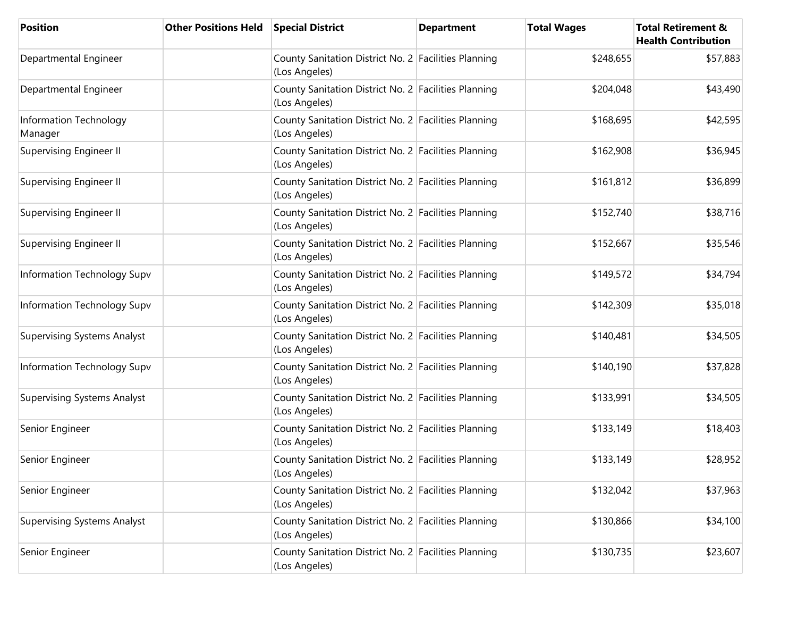| <b>Position</b>                    | <b>Other Positions Held</b> | <b>Special District</b>                                               | <b>Department</b> | <b>Total Wages</b> | <b>Total Retirement &amp;</b><br><b>Health Contribution</b> |
|------------------------------------|-----------------------------|-----------------------------------------------------------------------|-------------------|--------------------|-------------------------------------------------------------|
| Departmental Engineer              |                             | County Sanitation District No. 2 Facilities Planning<br>(Los Angeles) |                   | \$248,655          | \$57,883                                                    |
| Departmental Engineer              |                             | County Sanitation District No. 2 Facilities Planning<br>(Los Angeles) |                   | \$204,048          | \$43,490                                                    |
| Information Technology<br>Manager  |                             | County Sanitation District No. 2 Facilities Planning<br>(Los Angeles) |                   | \$168,695          | \$42,595                                                    |
| <b>Supervising Engineer II</b>     |                             | County Sanitation District No. 2 Facilities Planning<br>(Los Angeles) |                   | \$162,908          | \$36,945                                                    |
| <b>Supervising Engineer II</b>     |                             | County Sanitation District No. 2 Facilities Planning<br>(Los Angeles) |                   | \$161,812          | \$36,899                                                    |
| <b>Supervising Engineer II</b>     |                             | County Sanitation District No. 2 Facilities Planning<br>(Los Angeles) |                   | \$152,740          | \$38,716                                                    |
| Supervising Engineer II            |                             | County Sanitation District No. 2 Facilities Planning<br>(Los Angeles) |                   | \$152,667          | \$35,546                                                    |
| Information Technology Supv        |                             | County Sanitation District No. 2 Facilities Planning<br>(Los Angeles) |                   | \$149,572          | \$34,794                                                    |
| Information Technology Supv        |                             | County Sanitation District No. 2 Facilities Planning<br>(Los Angeles) |                   | \$142,309          | \$35,018                                                    |
| <b>Supervising Systems Analyst</b> |                             | County Sanitation District No. 2 Facilities Planning<br>(Los Angeles) |                   | \$140,481          | \$34,505                                                    |
| Information Technology Supv        |                             | County Sanitation District No. 2 Facilities Planning<br>(Los Angeles) |                   | \$140,190          | \$37,828                                                    |
| <b>Supervising Systems Analyst</b> |                             | County Sanitation District No. 2 Facilities Planning<br>(Los Angeles) |                   | \$133,991          | \$34,505                                                    |
| Senior Engineer                    |                             | County Sanitation District No. 2 Facilities Planning<br>(Los Angeles) |                   | \$133,149          | \$18,403                                                    |
| Senior Engineer                    |                             | County Sanitation District No. 2 Facilities Planning<br>(Los Angeles) |                   | \$133,149          | \$28,952                                                    |
| Senior Engineer                    |                             | County Sanitation District No. 2 Facilities Planning<br>(Los Angeles) |                   | \$132,042          | \$37,963                                                    |
| <b>Supervising Systems Analyst</b> |                             | County Sanitation District No. 2 Facilities Planning<br>(Los Angeles) |                   | \$130,866          | \$34,100                                                    |
| Senior Engineer                    |                             | County Sanitation District No. 2 Facilities Planning<br>(Los Angeles) |                   | \$130,735          | \$23,607                                                    |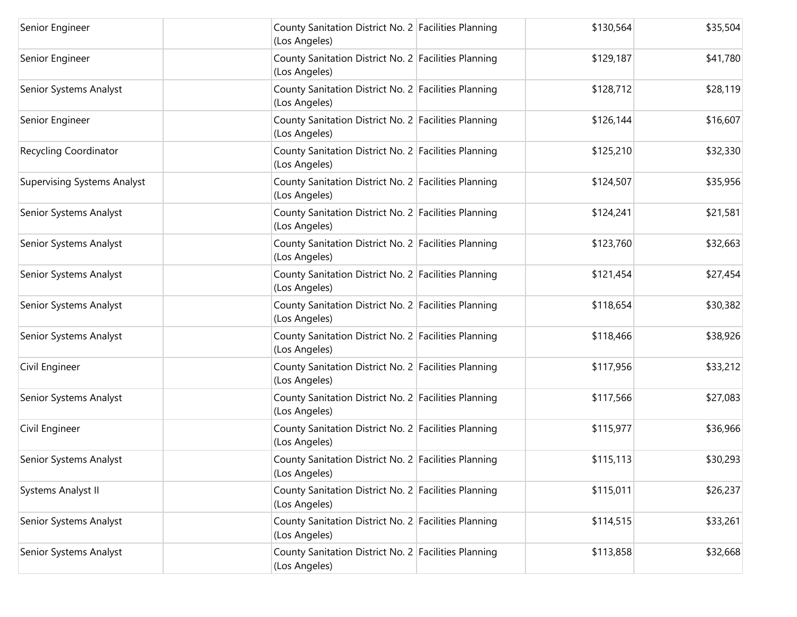| Senior Engineer                    | County Sanitation District No. 2 Facilities Planning<br>(Los Angeles) | \$130,564 | \$35,504 |
|------------------------------------|-----------------------------------------------------------------------|-----------|----------|
| Senior Engineer                    | County Sanitation District No. 2 Facilities Planning<br>(Los Angeles) | \$129,187 | \$41,780 |
| Senior Systems Analyst             | County Sanitation District No. 2 Facilities Planning<br>(Los Angeles) | \$128,712 | \$28,119 |
| Senior Engineer                    | County Sanitation District No. 2 Facilities Planning<br>(Los Angeles) | \$126,144 | \$16,607 |
| Recycling Coordinator              | County Sanitation District No. 2 Facilities Planning<br>(Los Angeles) | \$125,210 | \$32,330 |
| <b>Supervising Systems Analyst</b> | County Sanitation District No. 2 Facilities Planning<br>(Los Angeles) | \$124,507 | \$35,956 |
| Senior Systems Analyst             | County Sanitation District No. 2 Facilities Planning<br>(Los Angeles) | \$124,241 | \$21,581 |
| Senior Systems Analyst             | County Sanitation District No. 2 Facilities Planning<br>(Los Angeles) | \$123,760 | \$32,663 |
| Senior Systems Analyst             | County Sanitation District No. 2 Facilities Planning<br>(Los Angeles) | \$121,454 | \$27,454 |
| Senior Systems Analyst             | County Sanitation District No. 2 Facilities Planning<br>(Los Angeles) | \$118,654 | \$30,382 |
| Senior Systems Analyst             | County Sanitation District No. 2 Facilities Planning<br>(Los Angeles) | \$118,466 | \$38,926 |
| Civil Engineer                     | County Sanitation District No. 2 Facilities Planning<br>(Los Angeles) | \$117,956 | \$33,212 |
| Senior Systems Analyst             | County Sanitation District No. 2 Facilities Planning<br>(Los Angeles) | \$117,566 | \$27,083 |
| Civil Engineer                     | County Sanitation District No. 2 Facilities Planning<br>(Los Angeles) | \$115,977 | \$36,966 |
| Senior Systems Analyst             | County Sanitation District No. 2 Facilities Planning<br>(Los Angeles) | \$115,113 | \$30,293 |
| <b>Systems Analyst II</b>          | County Sanitation District No. 2 Facilities Planning<br>(Los Angeles) | \$115,011 | \$26,237 |
| Senior Systems Analyst             | County Sanitation District No. 2 Facilities Planning<br>(Los Angeles) | \$114,515 | \$33,261 |
| Senior Systems Analyst             | County Sanitation District No. 2 Facilities Planning<br>(Los Angeles) | \$113,858 | \$32,668 |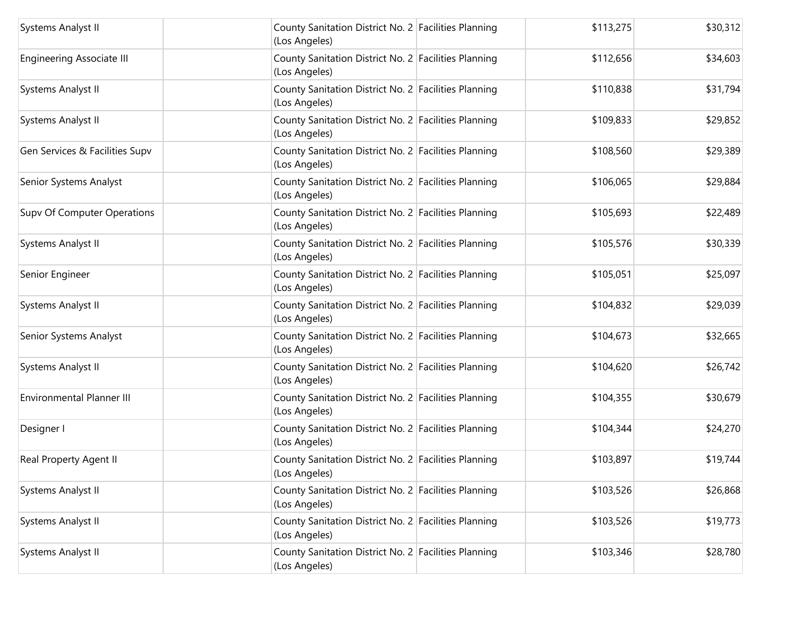| Systems Analyst II               | County Sanitation District No. 2 Facilities Planning<br>(Los Angeles) | \$113,275 | \$30,312 |
|----------------------------------|-----------------------------------------------------------------------|-----------|----------|
| <b>Engineering Associate III</b> | County Sanitation District No. 2 Facilities Planning<br>(Los Angeles) | \$112,656 | \$34,603 |
| Systems Analyst II               | County Sanitation District No. 2 Facilities Planning<br>(Los Angeles) | \$110,838 | \$31,794 |
| Systems Analyst II               | County Sanitation District No. 2 Facilities Planning<br>(Los Angeles) | \$109,833 | \$29,852 |
| Gen Services & Facilities Supv   | County Sanitation District No. 2 Facilities Planning<br>(Los Angeles) | \$108,560 | \$29,389 |
| Senior Systems Analyst           | County Sanitation District No. 2 Facilities Planning<br>(Los Angeles) | \$106,065 | \$29,884 |
| Supv Of Computer Operations      | County Sanitation District No. 2 Facilities Planning<br>(Los Angeles) | \$105,693 | \$22,489 |
| Systems Analyst II               | County Sanitation District No. 2 Facilities Planning<br>(Los Angeles) | \$105,576 | \$30,339 |
| Senior Engineer                  | County Sanitation District No. 2 Facilities Planning<br>(Los Angeles) | \$105,051 | \$25,097 |
| Systems Analyst II               | County Sanitation District No. 2 Facilities Planning<br>(Los Angeles) | \$104,832 | \$29,039 |
| Senior Systems Analyst           | County Sanitation District No. 2 Facilities Planning<br>(Los Angeles) | \$104,673 | \$32,665 |
| Systems Analyst II               | County Sanitation District No. 2 Facilities Planning<br>(Los Angeles) | \$104,620 | \$26,742 |
| <b>Environmental Planner III</b> | County Sanitation District No. 2 Facilities Planning<br>(Los Angeles) | \$104,355 | \$30,679 |
| Designer I                       | County Sanitation District No. 2 Facilities Planning<br>(Los Angeles) | \$104,344 | \$24,270 |
| Real Property Agent II           | County Sanitation District No. 2 Facilities Planning<br>(Los Angeles) | \$103,897 | \$19,744 |
| Systems Analyst II               | County Sanitation District No. 2 Facilities Planning<br>(Los Angeles) | \$103,526 | \$26,868 |
| Systems Analyst II               | County Sanitation District No. 2 Facilities Planning<br>(Los Angeles) | \$103,526 | \$19,773 |
| Systems Analyst II               | County Sanitation District No. 2 Facilities Planning<br>(Los Angeles) | \$103,346 | \$28,780 |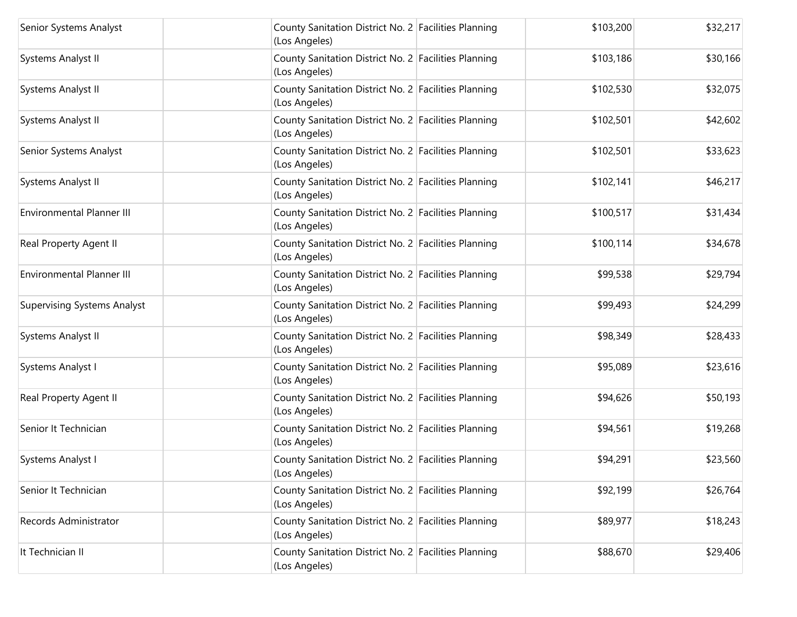| Senior Systems Analyst             | County Sanitation District No. 2 Facilities Planning<br>(Los Angeles) | \$103,200 | \$32,217 |
|------------------------------------|-----------------------------------------------------------------------|-----------|----------|
| Systems Analyst II                 | County Sanitation District No. 2 Facilities Planning<br>(Los Angeles) | \$103,186 | \$30,166 |
| <b>Systems Analyst II</b>          | County Sanitation District No. 2 Facilities Planning<br>(Los Angeles) | \$102,530 | \$32,075 |
| Systems Analyst II                 | County Sanitation District No. 2 Facilities Planning<br>(Los Angeles) | \$102,501 | \$42,602 |
| Senior Systems Analyst             | County Sanitation District No. 2 Facilities Planning<br>(Los Angeles) | \$102,501 | \$33,623 |
| <b>Systems Analyst II</b>          | County Sanitation District No. 2 Facilities Planning<br>(Los Angeles) | \$102,141 | \$46,217 |
| <b>Environmental Planner III</b>   | County Sanitation District No. 2 Facilities Planning<br>(Los Angeles) | \$100,517 | \$31,434 |
| Real Property Agent II             | County Sanitation District No. 2 Facilities Planning<br>(Los Angeles) | \$100,114 | \$34,678 |
| <b>Environmental Planner III</b>   | County Sanitation District No. 2 Facilities Planning<br>(Los Angeles) | \$99,538  | \$29,794 |
| <b>Supervising Systems Analyst</b> | County Sanitation District No. 2 Facilities Planning<br>(Los Angeles) | \$99,493  | \$24,299 |
| Systems Analyst II                 | County Sanitation District No. 2 Facilities Planning<br>(Los Angeles) | \$98,349  | \$28,433 |
| Systems Analyst I                  | County Sanitation District No. 2 Facilities Planning<br>(Los Angeles) | \$95,089  | \$23,616 |
| Real Property Agent II             | County Sanitation District No. 2 Facilities Planning<br>(Los Angeles) | \$94,626  | \$50,193 |
| Senior It Technician               | County Sanitation District No. 2 Facilities Planning<br>(Los Angeles) | \$94,561  | \$19,268 |
| Systems Analyst I                  | County Sanitation District No. 2 Facilities Planning<br>(Los Angeles) | \$94,291  | \$23,560 |
| Senior It Technician               | County Sanitation District No. 2 Facilities Planning<br>(Los Angeles) | \$92,199  | \$26,764 |
| Records Administrator              | County Sanitation District No. 2 Facilities Planning<br>(Los Angeles) | \$89,977  | \$18,243 |
| It Technician II                   | County Sanitation District No. 2 Facilities Planning<br>(Los Angeles) | \$88,670  | \$29,406 |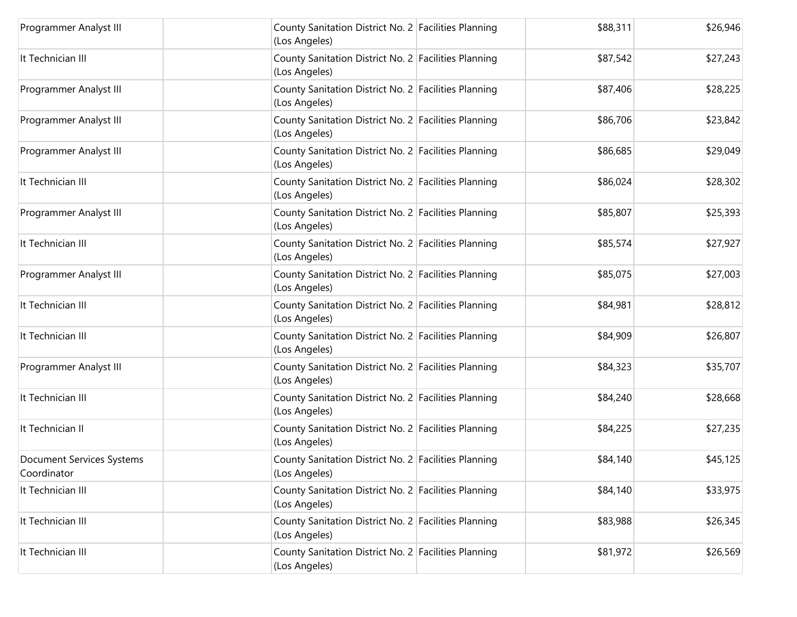| Programmer Analyst III                   | County Sanitation District No. 2 Facilities Planning<br>(Los Angeles) | \$88,311 | \$26,946 |
|------------------------------------------|-----------------------------------------------------------------------|----------|----------|
| It Technician III                        | County Sanitation District No. 2 Facilities Planning<br>(Los Angeles) | \$87,542 | \$27,243 |
| Programmer Analyst III                   | County Sanitation District No. 2 Facilities Planning<br>(Los Angeles) | \$87,406 | \$28,225 |
| Programmer Analyst III                   | County Sanitation District No. 2 Facilities Planning<br>(Los Angeles) | \$86,706 | \$23,842 |
| Programmer Analyst III                   | County Sanitation District No. 2 Facilities Planning<br>(Los Angeles) | \$86,685 | \$29,049 |
| It Technician III                        | County Sanitation District No. 2 Facilities Planning<br>(Los Angeles) | \$86,024 | \$28,302 |
| Programmer Analyst III                   | County Sanitation District No. 2 Facilities Planning<br>(Los Angeles) | \$85,807 | \$25,393 |
| It Technician III                        | County Sanitation District No. 2 Facilities Planning<br>(Los Angeles) | \$85,574 | \$27,927 |
| Programmer Analyst III                   | County Sanitation District No. 2 Facilities Planning<br>(Los Angeles) | \$85,075 | \$27,003 |
| It Technician III                        | County Sanitation District No. 2 Facilities Planning<br>(Los Angeles) | \$84,981 | \$28,812 |
| It Technician III                        | County Sanitation District No. 2 Facilities Planning<br>(Los Angeles) | \$84,909 | \$26,807 |
| Programmer Analyst III                   | County Sanitation District No. 2 Facilities Planning<br>(Los Angeles) | \$84,323 | \$35,707 |
| It Technician III                        | County Sanitation District No. 2 Facilities Planning<br>(Los Angeles) | \$84,240 | \$28,668 |
| It Technician II                         | County Sanitation District No. 2 Facilities Planning<br>(Los Angeles) | \$84,225 | \$27,235 |
| Document Services Systems<br>Coordinator | County Sanitation District No. 2 Facilities Planning<br>(Los Angeles) | \$84,140 | \$45,125 |
| It Technician III                        | County Sanitation District No. 2 Facilities Planning<br>(Los Angeles) | \$84,140 | \$33,975 |
| It Technician III                        | County Sanitation District No. 2 Facilities Planning<br>(Los Angeles) | \$83,988 | \$26,345 |
| It Technician III                        | County Sanitation District No. 2 Facilities Planning<br>(Los Angeles) | \$81,972 | \$26,569 |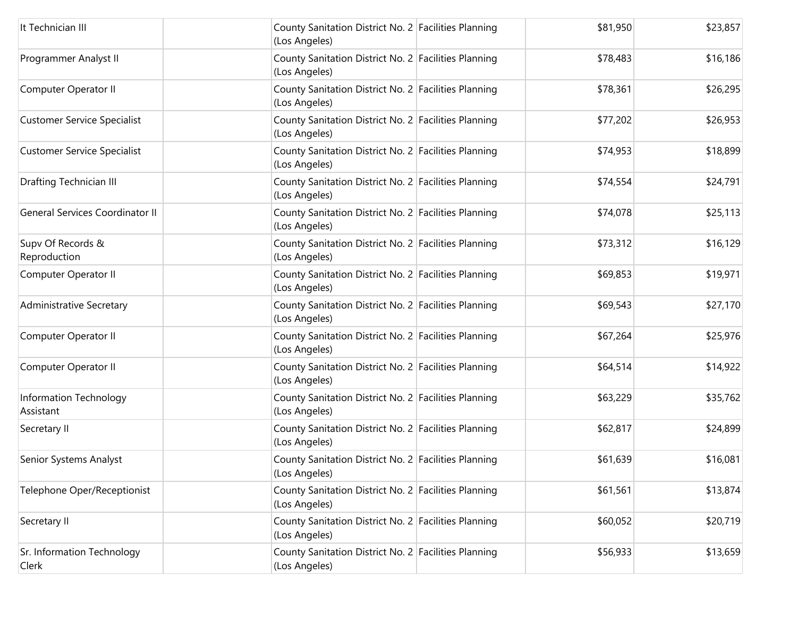| It Technician III                   | County Sanitation District No. 2 Facilities Planning<br>(Los Angeles) | \$81,950 | \$23,857 |
|-------------------------------------|-----------------------------------------------------------------------|----------|----------|
| Programmer Analyst II               | County Sanitation District No. 2 Facilities Planning<br>(Los Angeles) | \$78,483 | \$16,186 |
| Computer Operator II                | County Sanitation District No. 2 Facilities Planning<br>(Los Angeles) | \$78,361 | \$26,295 |
| <b>Customer Service Specialist</b>  | County Sanitation District No. 2 Facilities Planning<br>(Los Angeles) | \$77,202 | \$26,953 |
| <b>Customer Service Specialist</b>  | County Sanitation District No. 2 Facilities Planning<br>(Los Angeles) | \$74,953 | \$18,899 |
| Drafting Technician III             | County Sanitation District No. 2 Facilities Planning<br>(Los Angeles) | \$74,554 | \$24,791 |
| General Services Coordinator II     | County Sanitation District No. 2 Facilities Planning<br>(Los Angeles) | \$74,078 | \$25,113 |
| Supv Of Records &<br>Reproduction   | County Sanitation District No. 2 Facilities Planning<br>(Los Angeles) | \$73,312 | \$16,129 |
| Computer Operator II                | County Sanitation District No. 2 Facilities Planning<br>(Los Angeles) | \$69,853 | \$19,971 |
| Administrative Secretary            | County Sanitation District No. 2 Facilities Planning<br>(Los Angeles) | \$69,543 | \$27,170 |
| Computer Operator II                | County Sanitation District No. 2 Facilities Planning<br>(Los Angeles) | \$67,264 | \$25,976 |
| Computer Operator II                | County Sanitation District No. 2 Facilities Planning<br>(Los Angeles) | \$64,514 | \$14,922 |
| Information Technology<br>Assistant | County Sanitation District No. 2 Facilities Planning<br>(Los Angeles) | \$63,229 | \$35,762 |
| Secretary II                        | County Sanitation District No. 2 Facilities Planning<br>(Los Angeles) | \$62,817 | \$24,899 |
| Senior Systems Analyst              | County Sanitation District No. 2 Facilities Planning<br>(Los Angeles) | \$61,639 | \$16,081 |
| Telephone Oper/Receptionist         | County Sanitation District No. 2 Facilities Planning<br>(Los Angeles) | \$61,561 | \$13,874 |
| Secretary II                        | County Sanitation District No. 2 Facilities Planning<br>(Los Angeles) | \$60,052 | \$20,719 |
| Sr. Information Technology<br>Clerk | County Sanitation District No. 2 Facilities Planning<br>(Los Angeles) | \$56,933 | \$13,659 |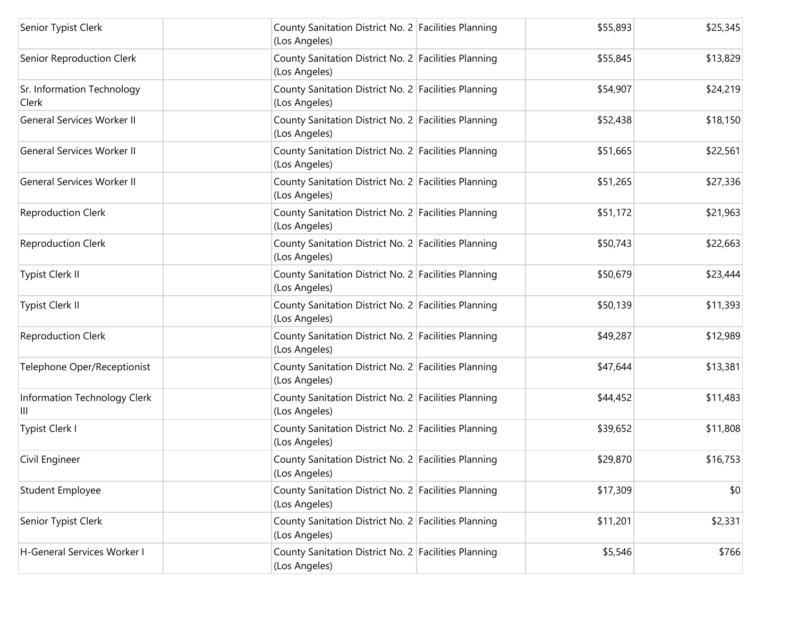| Senior Typist Clerk                 | County Sanitation District No. 2 Facilities Planning<br>(Los Angeles) | \$55,893 | \$25,345 |
|-------------------------------------|-----------------------------------------------------------------------|----------|----------|
| Senior Reproduction Clerk           | County Sanitation District No. 2 Facilities Planning<br>(Los Angeles) | \$55,845 | \$13,829 |
| Sr. Information Technology<br>Clerk | County Sanitation District No. 2 Facilities Planning<br>(Los Angeles) | \$54,907 | \$24,219 |
| General Services Worker II          | County Sanitation District No. 2 Facilities Planning<br>(Los Angeles) | \$52,438 | \$18,150 |
| <b>General Services Worker II</b>   | County Sanitation District No. 2 Facilities Planning<br>(Los Angeles) | \$51,665 | \$22,561 |
| <b>General Services Worker II</b>   | County Sanitation District No. 2 Facilities Planning<br>(Los Angeles) | \$51,265 | \$27,336 |
| <b>Reproduction Clerk</b>           | County Sanitation District No. 2 Facilities Planning<br>(Los Angeles) | \$51,172 | \$21,963 |
| <b>Reproduction Clerk</b>           | County Sanitation District No. 2 Facilities Planning<br>(Los Angeles) | \$50,743 | \$22,663 |
| Typist Clerk II                     | County Sanitation District No. 2 Facilities Planning<br>(Los Angeles) | \$50,679 | \$23,444 |
| Typist Clerk II                     | County Sanitation District No. 2 Facilities Planning<br>(Los Angeles) | \$50,139 | \$11,393 |
| <b>Reproduction Clerk</b>           | County Sanitation District No. 2 Facilities Planning<br>(Los Angeles) | \$49,287 | \$12,989 |
| Telephone Oper/Receptionist         | County Sanitation District No. 2 Facilities Planning<br>(Los Angeles) | \$47,644 | \$13,381 |
| Information Technology Clerk<br>Ш   | County Sanitation District No. 2 Facilities Planning<br>(Los Angeles) | \$44,452 | \$11,483 |
| Typist Clerk I                      | County Sanitation District No. 2 Facilities Planning<br>(Los Angeles) | \$39,652 | \$11,808 |
| Civil Engineer                      | County Sanitation District No. 2 Facilities Planning<br>(Los Angeles) | \$29,870 | \$16,753 |
| <b>Student Employee</b>             | County Sanitation District No. 2 Facilities Planning<br>(Los Angeles) | \$17,309 | \$0      |
| Senior Typist Clerk                 | County Sanitation District No. 2 Facilities Planning<br>(Los Angeles) | \$11,201 | \$2,331  |
| H-General Services Worker I         | County Sanitation District No. 2 Facilities Planning<br>(Los Angeles) | \$5,546  | \$766    |